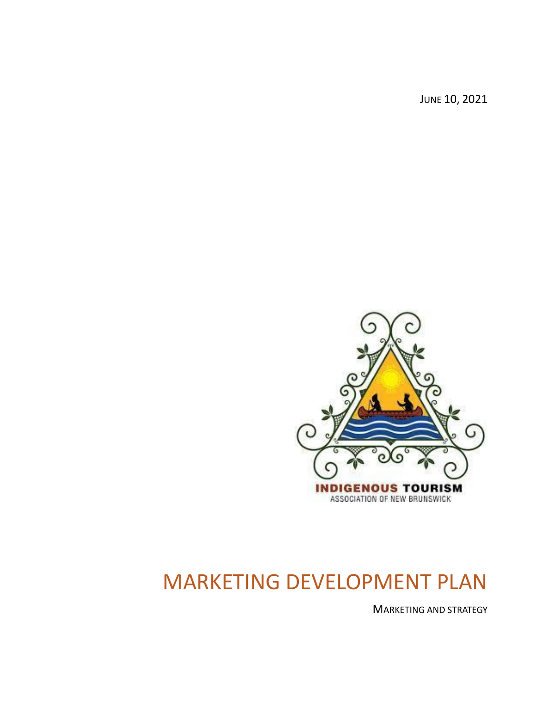JUNE 10, 2021



# MARKETING DEVELOPMENT PLAN

MARKETING AND STRATEGY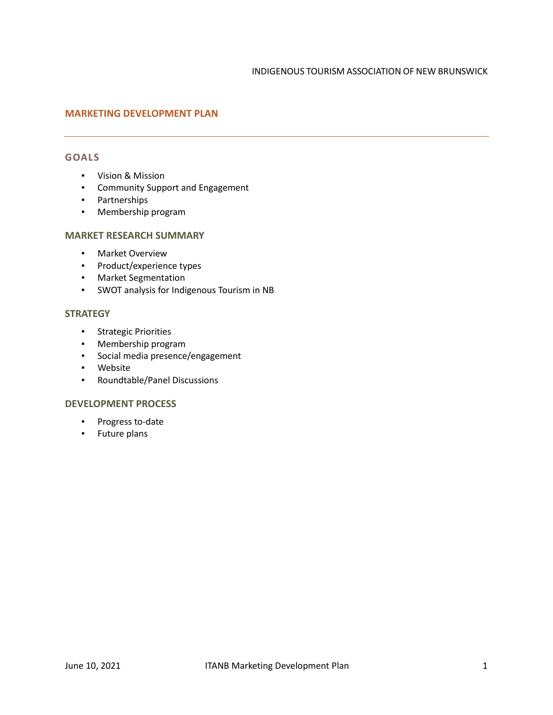## **MARKETING DEVELOPMENT PLAN**

#### **GOALS**

- Vision & Mission
- Community Support and Engagement
- Partnerships
- Membership program

#### **MARKET RESEARCH SUMMARY**

- Market Overview
- Product/experience types
- Market Segmentation
- SWOT analysis for Indigenous Tourism in NB

## **STRATEGY**

- Strategic Priorities
- Membership program
- Social media presence/engagement
- Website
- Roundtable/Panel Discussions

#### **DEVELOPMENT PROCESS**

- Progress to-date
- Future plans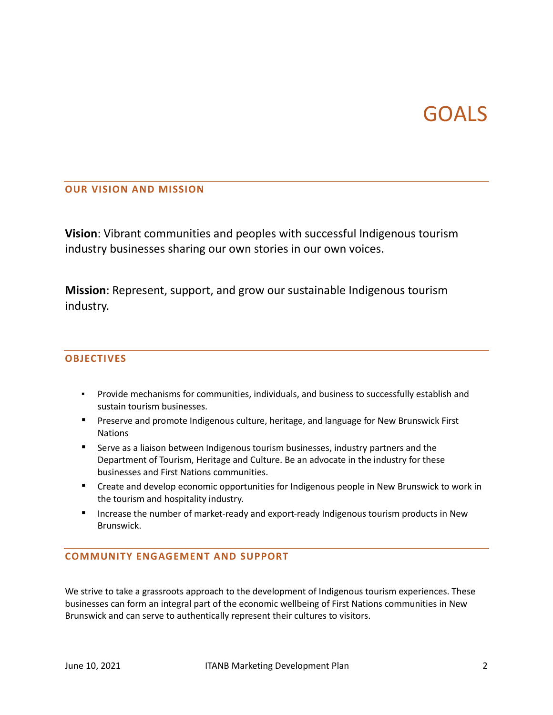# GOALS

## **OUR VISION AND MISSION**

**Vision**: Vibrant communities and peoples with successful Indigenous tourism industry businesses sharing our own stories in our own voices.

**Mission**: Represent, support, and grow our sustainable Indigenous tourism industry.

## **OBJECTIVES**

- Provide mechanisms for communities, individuals, and business to successfully establish and sustain tourism businesses.
- **•** Preserve and promote Indigenous culture, heritage, and language for New Brunswick First Nations
- **EXECT** Serve as a liaison between Indigenous tourism businesses, industry partners and the Department of Tourism, Heritage and Culture. Be an advocate in the industry for these businesses and First Nations communities.
- Create and develop economic opportunities for Indigenous people in New Brunswick to work in the tourism and hospitality industry.
- **E** Increase the number of market-ready and export-ready Indigenous tourism products in New Brunswick.

## **COMMUNITY ENGAGEMENT AND SUPPORT**

We strive to take a grassroots approach to the development of Indigenous tourism experiences. These businesses can form an integral part of the economic wellbeing of First Nations communities in New Brunswick and can serve to authentically represent their cultures to visitors.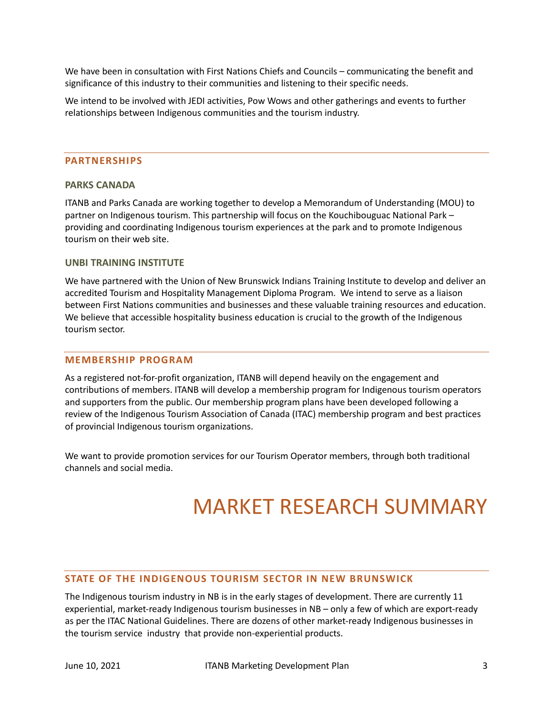We have been in consultation with First Nations Chiefs and Councils – communicating the benefit and significance of this industry to their communities and listening to their specific needs.

We intend to be involved with JEDI activities, Pow Wows and other gatherings and events to further relationships between Indigenous communities and the tourism industry.

#### **PARTNERSHIPS**

#### **PARKS CANADA**

ITANB and Parks Canada are working together to develop a Memorandum of Understanding (MOU) to partner on Indigenous tourism. This partnership will focus on the Kouchibouguac National Park – providing and coordinating Indigenous tourism experiences at the park and to promote Indigenous tourism on their web site.

#### **UNBI TRAINING INSTITUTE**

We have partnered with the Union of New Brunswick Indians Training Institute to develop and deliver an accredited Tourism and Hospitality Management Diploma Program. We intend to serve as a liaison between First Nations communities and businesses and these valuable training resources and education. We believe that accessible hospitality business education is crucial to the growth of the Indigenous tourism sector.

#### **MEMBERSHIP PROGRAM**

As a registered not-for-profit organization, ITANB will depend heavily on the engagement and contributions of members. ITANB will develop a membership program for Indigenous tourism operators and supporters from the public. Our membership program plans have been developed following a review of the Indigenous Tourism Association of Canada (ITAC) membership program and best practices of provincial Indigenous tourism organizations.

We want to provide promotion services for our Tourism Operator members, through both traditional channels and social media.

## MARKET RESEARCH SUMMARY

#### **STATE OF THE INDIGENOUS TOURISM SECTOR IN NEW BRUNSWICK**

The Indigenous tourism industry in NB is in the early stages of development. There are currently 11 experiential, market-ready Indigenous tourism businesses in NB – only a few of which are export-ready as per the ITAC National Guidelines. There are dozens of other market-ready Indigenous businesses in the tourism service industry that provide non-experiential products.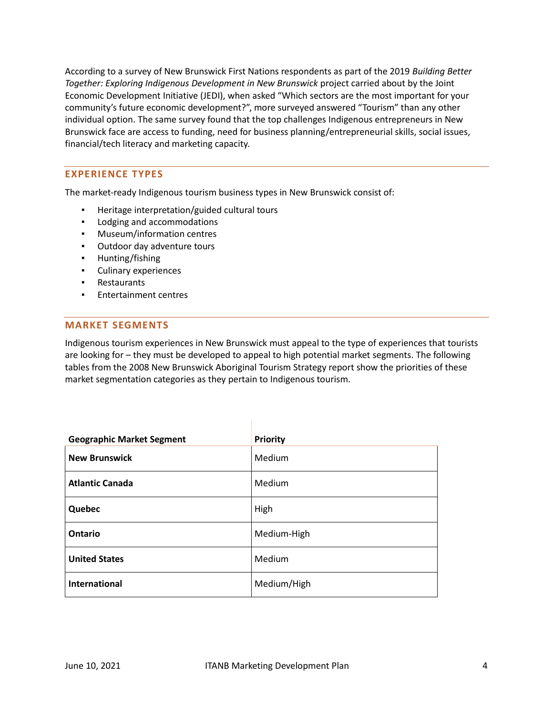According to a survey of New Brunswick First Nations respondents as part of the 2019 *Building Better Together: Exploring Indigenous Development in New Brunswick* project carried about by the Joint Economic Development Initiative (JEDI), when asked "Which sectors are the most important for your community's future economic development?", more surveyed answered "Tourism" than any other individual option. The same survey found that the top challenges Indigenous entrepreneurs in New Brunswick face are access to funding, need for business planning/entrepreneurial skills, social issues, financial/tech literacy and marketing capacity.

## **EXPERIENCE TYPES**

The market-ready Indigenous tourism business types in New Brunswick consist of:

- Heritage interpretation/guided cultural tours
- Lodging and accommodations
- Museum/information centres
- Outdoor day adventure tours
- Hunting/fishing
- Culinary experiences
- Restaurants
- Entertainment centres

#### **MARKET SEGMENTS**

Indigenous tourism experiences in New Brunswick must appeal to the type of experiences that tourists are looking for – they must be developed to appeal to high potential market segments. The following tables from the 2008 New Brunswick Aboriginal Tourism Strategy report show the priorities of these market segmentation categories as they pertain to Indigenous tourism.

| <b>Geographic Market Segment</b> | <b>Priority</b> |
|----------------------------------|-----------------|
| <b>New Brunswick</b>             | Medium          |
| <b>Atlantic Canada</b>           | Medium          |
| Quebec                           | High            |
| Ontario                          | Medium-High     |
| <b>United States</b>             | Medium          |
| <b>International</b>             | Medium/High     |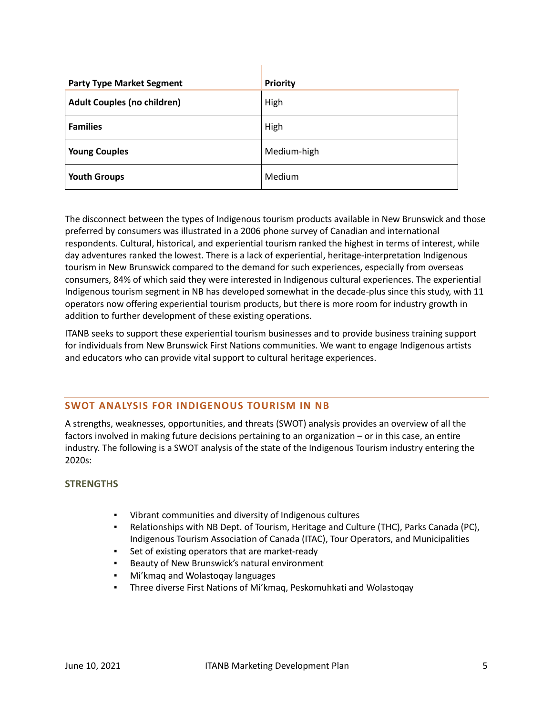| <b>Party Type Market Segment</b>   | <b>Priority</b> |
|------------------------------------|-----------------|
| <b>Adult Couples (no children)</b> | High            |
| <b>Families</b>                    | High            |
| <b>Young Couples</b>               | Medium-high     |
| <b>Youth Groups</b>                | Medium          |

The disconnect between the types of Indigenous tourism products available in New Brunswick and those preferred by consumers was illustrated in a 2006 phone survey of Canadian and international respondents. Cultural, historical, and experiential tourism ranked the highest in terms of interest, while day adventures ranked the lowest. There is a lack of experiential, heritage-interpretation Indigenous tourism in New Brunswick compared to the demand for such experiences, especially from overseas consumers, 84% of which said they were interested in Indigenous cultural experiences. The experiential Indigenous tourism segment in NB has developed somewhat in the decade-plus since this study, with 11 operators now offering experiential tourism products, but there is more room for industry growth in addition to further development of these existing operations.

ITANB seeks to support these experiential tourism businesses and to provide business training support for individuals from New Brunswick First Nations communities. We want to engage Indigenous artists and educators who can provide vital support to cultural heritage experiences.

## **SWOT ANALYSIS FOR INDIGENOUS TOURISM IN NB**

A strengths, weaknesses, opportunities, and threats (SWOT) analysis provides an overview of all the factors involved in making future decisions pertaining to an organization – or in this case, an entire industry. The following is a SWOT analysis of the state of the Indigenous Tourism industry entering the 2020s:

#### **STRENGTHS**

- Vibrant communities and diversity of Indigenous cultures
- Relationships with NB Dept. of Tourism, Heritage and Culture (THC), Parks Canada (PC), Indigenous Tourism Association of Canada (ITAC), Tour Operators, and Municipalities
- Set of existing operators that are market-ready
- Beauty of New Brunswick's natural environment
- Mi'kmaq and Wolastoqay languages
- Three diverse First Nations of Mi'kmaq, Peskomuhkati and Wolastoqay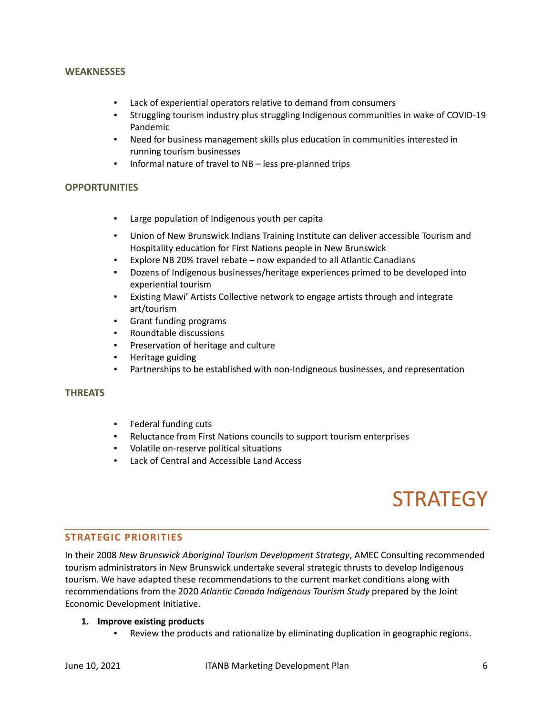#### **WEAKNESSES**

- Lack of experiential operators relative to demand from consumers
- Struggling tourism industry plus struggling Indigenous communities in wake of COVID-19 Pandemic
- Need for business management skills plus education in communities interested in running tourism businesses
- Informal nature of travel to NB less pre-planned trips

#### **OPPORTUNITIES**

- Large population of Indigenous youth per capita
- Union of New Brunswick Indians Training Institute can deliver accessible Tourism and Hospitality education for First Nations people in New Brunswick
- Explore NB 20% travel rebate now expanded to all Atlantic Canadians
- Dozens of Indigenous businesses/heritage experiences primed to be developed into experiential tourism
- Existing Mawi' Artists Collective network to engage artists through and integrate art/tourism
- Grant funding programs
- Roundtable discussions
- Preservation of heritage and culture
- Heritage guiding
- Partnerships to be established with non-Indigneous businesses, and representation

#### **THREATS**

- Federal funding cuts
- Reluctance from First Nations councils to support tourism enterprises
- Volatile on-reserve political situations
- Lack of Central and Accessible Land Access

## **STRATEGY**

#### **STRATEGIC PRIORITIES**

In their 2008 *New Brunswick Aboriginal Tourism Development Strategy*, AMEC Consulting recommended tourism administrators in New Brunswick undertake several strategic thrusts to develop Indigenous tourism. We have adapted these recommendations to the current market conditions along with recommendations from the 2020 *Atlantic Canada Indigenous Tourism Study* prepared by the Joint Economic Development Initiative.

#### **1. Improve existing products**

▪ Review the products and rationalize by eliminating duplication in geographic regions.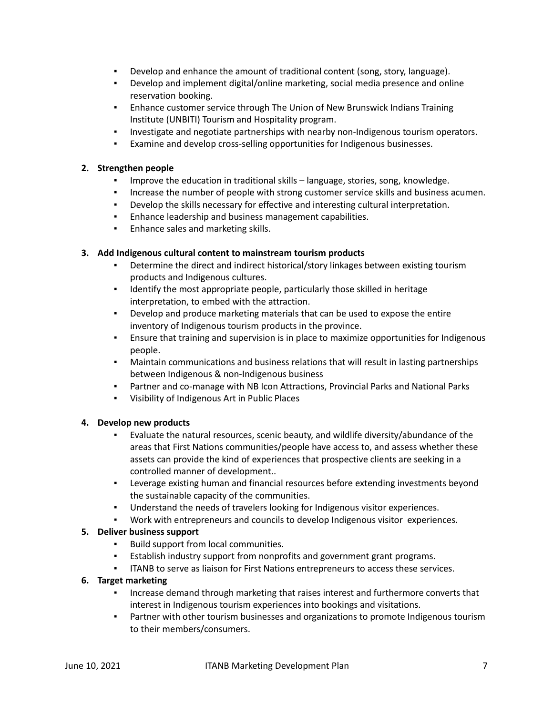- Develop and enhance the amount of traditional content (song, story, language).
- Develop and implement digital/online marketing, social media presence and online reservation booking.
- **Enhance customer service through The Union of New Brunswick Indians Training** Institute (UNBITI) Tourism and Hospitality program.
- Investigate and negotiate partnerships with nearby non-Indigenous tourism operators.
- Examine and develop cross-selling opportunities for Indigenous businesses.

## **2. Strengthen people**

- Improve the education in traditional skills language, stories, song, knowledge.
- Increase the number of people with strong customer service skills and business acumen.
- Develop the skills necessary for effective and interesting cultural interpretation.
- Enhance leadership and business management capabilities.
- **Enhance sales and marketing skills.**

## **3. Add Indigenous cultural content to mainstream tourism products**

- Determine the direct and indirect historical/story linkages between existing tourism products and Indigenous cultures.
- Identify the most appropriate people, particularly those skilled in heritage interpretation, to embed with the attraction.
- Develop and produce marketing materials that can be used to expose the entire inventory of Indigenous tourism products in the province.
- **Ensure that training and supervision is in place to maximize opportunities for Indigenous** people.
- Maintain communications and business relations that will result in lasting partnerships between Indigenous & non-Indigenous business
- Partner and co-manage with NB Icon Attractions, Provincial Parks and National Parks
- Visibility of Indigenous Art in Public Places

#### **4. Develop new products**

- Evaluate the natural resources, scenic beauty, and wildlife diversity/abundance of the areas that First Nations communities/people have access to, and assess whether these assets can provide the kind of experiences that prospective clients are seeking in a controlled manner of development..
- **•** Leverage existing human and financial resources before extending investments beyond the sustainable capacity of the communities.
- Understand the needs of travelers looking for Indigenous visitor experiences.
- Work with entrepreneurs and councils to develop Indigenous visitor experiences.

#### **5. Deliver business support**

- Build support from local communities.
- Establish industry support from nonprofits and government grant programs.
- ITANB to serve as liaison for First Nations entrepreneurs to access these services.

#### **6. Target marketing**

- Increase demand through marketing that raises interest and furthermore converts that interest in Indigenous tourism experiences into bookings and visitations.
- **•** Partner with other tourism businesses and organizations to promote Indigenous tourism to their members/consumers.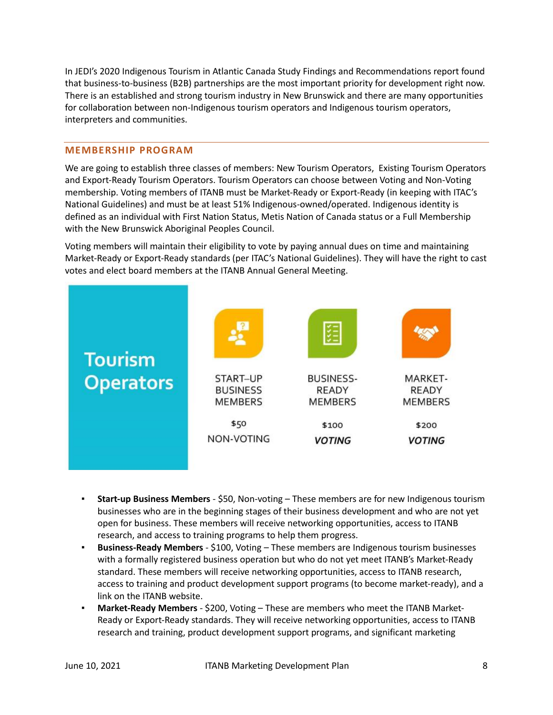In JEDI's 2020 Indigenous Tourism in Atlantic Canada Study Findings and Recommendations report found that business-to-business (B2B) partnerships are the most important priority for development right now. There is an established and strong tourism industry in New Brunswick and there are many opportunities for collaboration between non-Indigenous tourism operators and Indigenous tourism operators, interpreters and communities.

#### **MEMBERSHIP PROGRAM**

We are going to establish three classes of members: New Tourism Operators, Existing Tourism Operators and Export-Ready Tourism Operators. Tourism Operators can choose between Voting and Non-Voting membership. Voting members of ITANB must be Market-Ready or Export-Ready (in keeping with ITAC's National Guidelines) and must be at least 51% Indigenous-owned/operated. Indigenous identity is defined as an individual with First Nation Status, Metis Nation of Canada status or a Full Membership with the New Brunswick Aboriginal Peoples Council.

Voting members will maintain their eligibility to vote by paying annual dues on time and maintaining Market-Ready or Export-Ready standards (per ITAC's National Guidelines). They will have the right to cast votes and elect board members at the ITANB Annual General Meeting.



- **Start-up Business Members** \$50, Non-voting These members are for new Indigenous tourism businesses who are in the beginning stages of their business development and who are not yet open for business. These members will receive networking opportunities, access to ITANB research, and access to training programs to help them progress.
- **Business-Ready Members** \$100, Voting These members are Indigenous tourism businesses with a formally registered business operation but who do not yet meet ITANB's Market-Ready standard. These members will receive networking opportunities, access to ITANB research, access to training and product development support programs (to become market-ready), and a link on the ITANB website.
- **Market-Ready Members** \$200, Voting These are members who meet the ITANB Market-Ready or Export-Ready standards. They will receive networking opportunities, access to ITANB research and training, product development support programs, and significant marketing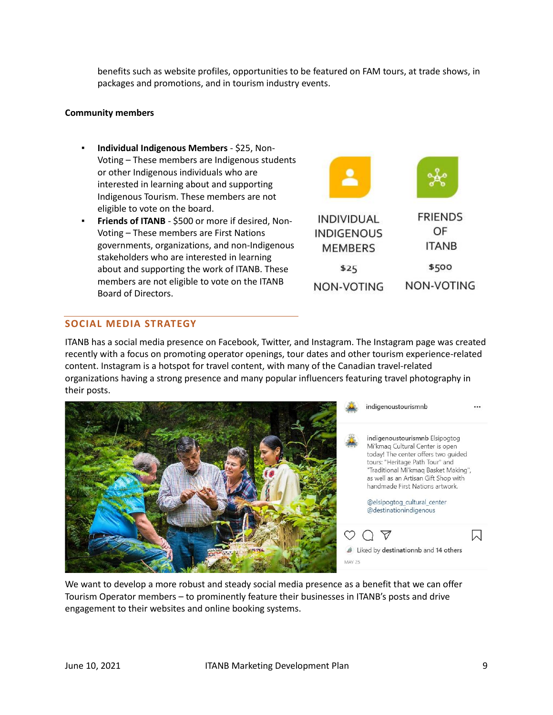benefits such as website profiles, opportunities to be featured on FAM tours, at trade shows, in packages and promotions, and in tourism industry events.

#### **Community members**

- **Individual Indigenous Members** \$25, Non-Voting – These members are Indigenous students or other Indigenous individuals who are interested in learning about and supporting Indigenous Tourism. These members are not eligible to vote on the board.
- **Friends of ITANB** \$500 or more if desired, Non-Voting – These members are First Nations governments, organizations, and non-Indigenous stakeholders who are interested in learning about and supporting the work of ITANB. These members are not eligible to vote on the ITANB Board of Directors.



## **SOCIAL MEDIA STRATEGY**

ITANB has a social media presence on Facebook, Twitter, and Instagram. The Instagram page was created recently with a focus on promoting operator openings, tour dates and other tourism experience-related content. Instagram is a hotspot for travel content, with many of the Canadian travel-related organizations having a strong presence and many popular influencers featuring travel photography in their posts.



We want to develop a more robust and steady social media presence as a benefit that we can offer Tourism Operator members – to prominently feature their businesses in ITANB's posts and drive engagement to their websites and online booking systems.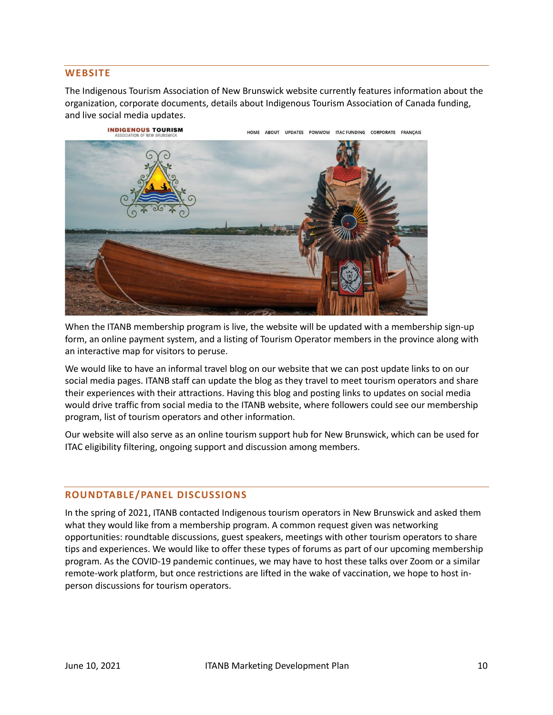#### **WEBSITE**

The Indigenous Tourism Association of New Brunswick website currently features information about the organization, corporate documents, details about Indigenous Tourism Association of Canada funding, and live social media updates.

> **INDIGENOUS TOURISM** ITAC FUNDING CORPORATE FRANCAIS HOME ABOUT UPDATES POWWOW



When the ITANB membership program is live, the website will be updated with a membership sign-up form, an online payment system, and a listing of Tourism Operator members in the province along with an interactive map for visitors to peruse.

We would like to have an informal travel blog on our website that we can post update links to on our social media pages. ITANB staff can update the blog as they travel to meet tourism operators and share their experiences with their attractions. Having this blog and posting links to updates on social media would drive traffic from social media to the ITANB website, where followers could see our membership program, list of tourism operators and other information.

Our website will also serve as an online tourism support hub for New Brunswick, which can be used for ITAC eligibility filtering, ongoing support and discussion among members.

#### **ROUNDTABLE/PANEL DISCUSSIONS**

In the spring of 2021, ITANB contacted Indigenous tourism operators in New Brunswick and asked them what they would like from a membership program. A common request given was networking opportunities: roundtable discussions, guest speakers, meetings with other tourism operators to share tips and experiences. We would like to offer these types of forums as part of our upcoming membership program. As the COVID-19 pandemic continues, we may have to host these talks over Zoom or a similar remote-work platform, but once restrictions are lifted in the wake of vaccination, we hope to host inperson discussions for tourism operators.